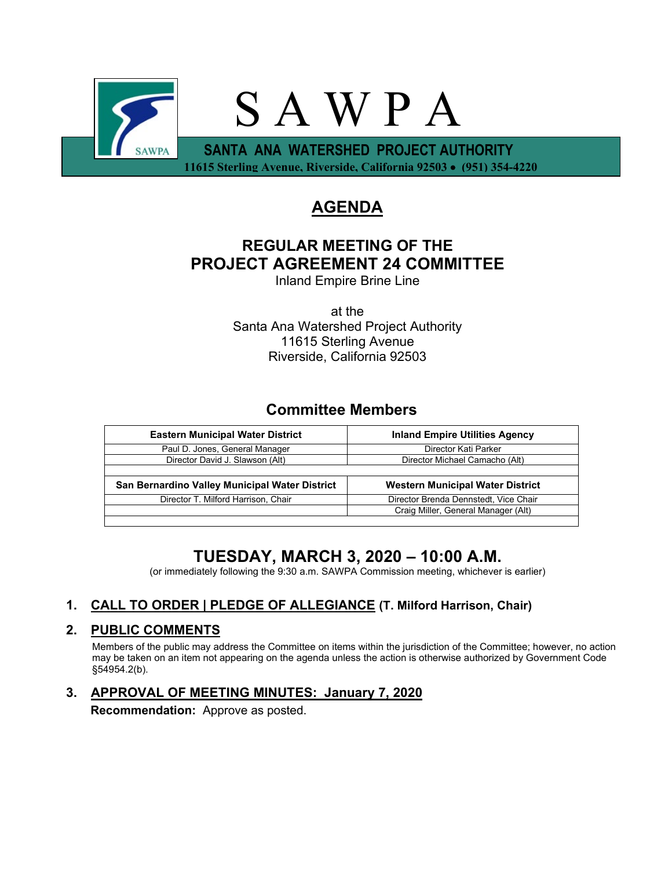

# **AGENDA**

# **REGULAR MEETING OF THE PROJECT AGREEMENT 24 COMMITTEE**

Inland Empire Brine Line

at the Santa Ana Watershed Project Authority 11615 Sterling Avenue Riverside, California 92503

## **Committee Members**

| <b>Inland Empire Utilities Agency</b>   |
|-----------------------------------------|
| Director Kati Parker                    |
| Director Michael Camacho (Alt)          |
|                                         |
| <b>Western Municipal Water District</b> |
| Director Brenda Dennstedt, Vice Chair   |
| Craig Miller, General Manager (Alt)     |
|                                         |

# **TUESDAY, MARCH 3, 2020 – 10:00 A.M.**

(or immediately following the 9:30 a.m. SAWPA Commission meeting, whichever is earlier)

## **1. CALL TO ORDER | PLEDGE OF ALLEGIANCE (T. Milford Harrison, Chair)**

## **2. PUBLIC COMMENTS**

Members of the public may address the Committee on items within the jurisdiction of the Committee; however, no action may be taken on an item not appearing on the agenda unless the action is otherwise authorized by Government Code §54954.2(b).

## **3. APPROVAL OF MEETING MINUTES: January 7, 2020**

**Recommendation:** Approve as posted.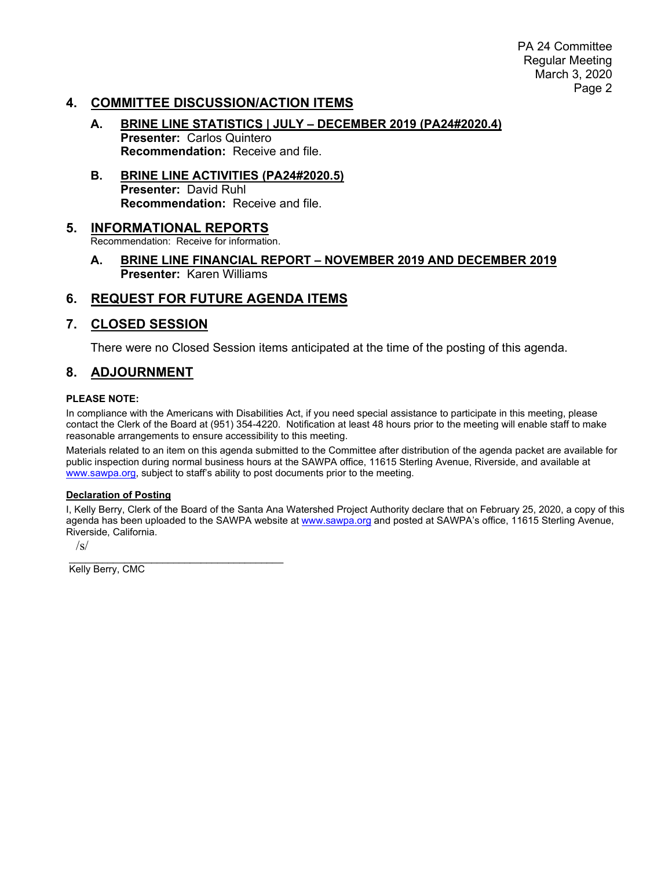PA 24 Committee Regular Meeting March 3, 2020 Page 2

## **4. COMMITTEE DISCUSSION/ACTION ITEMS**

- **A. BRINE LINE STATISTICS | JULY – DECEMBER 2019 (PA24#2020.4) Presenter:** Carlos Quintero **Recommendation:** Receive and file.
- **B. BRINE LINE ACTIVITIES (PA24#2020.5) Presenter:** David Ruhl **Recommendation:** Receive and file.

## **5. INFORMATIONAL REPORTS**

Recommendation: Receive for information.

**A. BRINE LINE FINANCIAL REPORT – NOVEMBER 2019 AND DECEMBER 2019 Presenter:** Karen Williams

## **6. REQUEST FOR FUTURE AGENDA ITEMS**

### **7. CLOSED SESSION**

There were no Closed Session items anticipated at the time of the posting of this agenda.

### **8. ADJOURNMENT**

#### **PLEASE NOTE:**

In compliance with the Americans with Disabilities Act, if you need special assistance to participate in this meeting, please contact the Clerk of the Board at (951) 354-4220. Notification at least 48 hours prior to the meeting will enable staff to make reasonable arrangements to ensure accessibility to this meeting.

Materials related to an item on this agenda submitted to the Committee after distribution of the agenda packet are available for public inspection during normal business hours at the SAWPA office, 11615 Sterling Avenue, Riverside, and available at [www.sawpa.org,](http://www.sawpa.org/) subject to staff's ability to post documents prior to the meeting.

#### **Declaration of Posting**

I, Kelly Berry, Clerk of the Board of the Santa Ana Watershed Project Authority declare that on February 25, 2020, a copy of this agenda has been uploaded to the SAWPA website at [www.sawpa.org](http://www.sawpa.org/) and posted at SAWPA's office, 11615 Sterling Avenue, Riverside, California.

 $\sqrt{s}$ 

\_\_\_\_\_\_\_\_\_\_\_\_\_\_\_\_\_\_\_\_\_\_\_\_\_\_\_\_\_\_\_\_\_\_\_\_\_\_\_ Kelly Berry, CMC